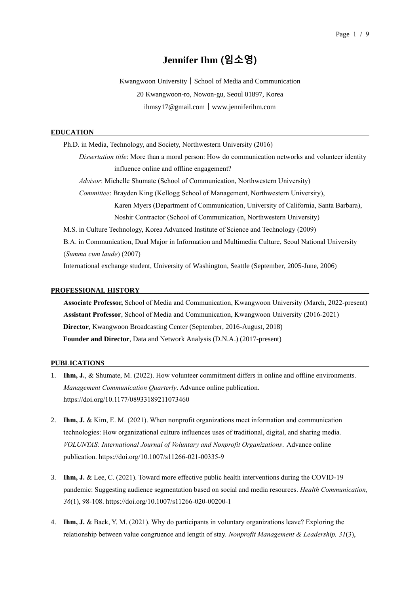# **Jennifer Ihm (임소영)**

Kwangwoon University┃School of Media and Communication 20 Kwangwoon-ro, Nowon-gu, Seoul 01897, Korea ihmsy17@gmail.com┃www.jenniferihm.com

#### **EDUCATION**

Ph.D. in Media, Technology, and Society, Northwestern University (2016) *Dissertation title*: More than a moral person: How do communication networks and volunteer identity influence online and offline engagement? *Advisor*: Michelle Shumate (School of Communication, Northwestern University) *Committee*: Brayden King (Kellogg School of Management, Northwestern University), Karen Myers (Department of Communication, University of California, Santa Barbara), Noshir Contractor (School of Communication, Northwestern University) M.S. in Culture Technology, Korea Advanced Institute of Science and Technology (2009) B.A. in Communication, Dual Major in Information and Multimedia Culture, Seoul National University (*Summa cum laude*) (2007) International exchange student, University of Washington, Seattle (September, 2005-June, 2006)

#### **PROFESSIONAL HISTORY**

**Associate Professor,** School of Media and Communication, Kwangwoon University (March, 2022-present) **Assistant Professor**, School of Media and Communication, Kwangwoon University (2016-2021) **Director**, Kwangwoon Broadcasting Center (September, 2016-August, 2018) **Founder and Director**, Data and Network Analysis (D.N.A.) (2017-present)

#### **PUBLICATIONS**

- 1. **Ihm, J.**, & Shumate, M. (2022). How volunteer commitment differs in online and offline environments. *Management Communication Quarterly*. Advance online publication. https://doi.org/10.1177/08933189211073460
- 2. **Ihm, J.** & Kim, E. M. (2021). When nonprofit organizations meet information and communication technologies: How organizational culture influences uses of traditional, digital, and sharing media. *VOLUNTAS: International Journal of Voluntary and Nonprofit Organizations*. Advance online publication. <https://doi.org/10.1007/s11266-021-00335-9>
- 3. **Ihm, J.** & Lee, C. (2021). Toward more effective public health interventions during the COVID-19 pandemic: Suggesting audience segmentation based on social and media resources. *Health Communication, 36*(1), 98-108. https://doi.org/10.1007/s11266-020-00200-1
- 4. **Ihm, J.** & Baek, Y. M. (2021). Why do participants in voluntary organizations leave? Exploring the relationship between value congruence and length of stay. *Nonprofit Management & Leadership, 31*(3),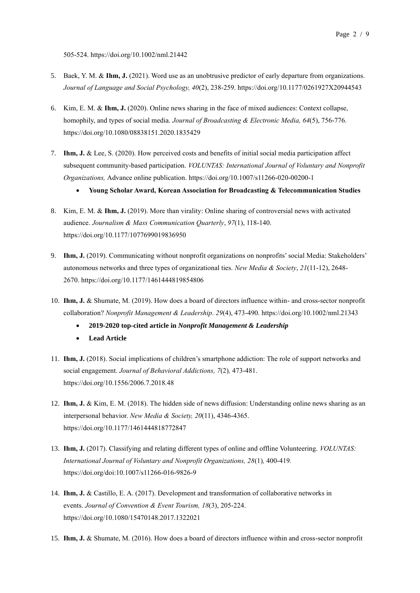505-524. https://doi.org/10.1002/nml.21442

- 5. Baek, Y. M. & **Ihm, J.** (2021). Word use as an unobtrusive predictor of early departure from organizations. *Journal of Language and Social Psychology, 40*(2), 238-259. https://doi.org/10.1177/0261927X20944543
- 6. Kim, E. M. & **Ihm, J.** (2020). Online news sharing in the face of mixed audiences: Context collapse, homophily, and types of social media. *Journal of Broadcasting & Electronic Media, 64*(5), 756-776. https://doi.org/10.1080/08838151.2020.1835429
- 7. **Ihm, J.** & Lee, S. (2020). [How perceived costs and benefits of initial social media participation affect](http://www.jenniferihm.com/uploads/5/0/2/7/50277035/ihm-lee2020_article_howperceivedcostsandbenefitsof.pdf)  [subsequent community-based participation.](http://www.jenniferihm.com/uploads/5/0/2/7/50277035/ihm-lee2020_article_howperceivedcostsandbenefitsof.pdf) *VOLUNTAS: International Journal of Voluntary and Nonprofit Organizations,* Advance online publication. <https://doi.org/10.1007/s11266-020-00200-1>
	- **Young Scholar Award, Korean Association for Broadcasting & Telecommunication Studies**
- 8. Kim, E. M. & **Ihm, J.** (2019). More than virality: [Online sharing of controversial news with activated](http://weebly-file/5/0/2/7/50277035/published_jmcq.pdf)  [audience.](http://weebly-file/5/0/2/7/50277035/published_jmcq.pdf) *Journalism & Mass Communication Quarterly*, *97*(1), 118-140. <https://doi.org/10.1177/1077699019836950>
- 9. **Ihm, J.** (2019). [Communicating without nonprofit organizations on nonprofits' social Media: Stakeholders'](http://www.jenniferihm.com/uploads/5/0/2/7/50277035/nms_published.pdf)  [autonomous networks and three types of organizational ties.](http://www.jenniferihm.com/uploads/5/0/2/7/50277035/nms_published.pdf) *New Media & Society*, *21*(11-12), 2648- 2670. <https://doi.org/10.1177/1461444819854806>
- 10. **Ihm, J.** & Shumate, M. (2019). How does a board of directors influence within- and cross-sector nonprofit collaboration? *Nonprofit Management & Leadership*. *29*(4), 473-490[. https://doi.org/10.1002/nml.21343](https://doi.org/10.1002/nml.21343)
	- **2019-2020 top-cited article in** *Nonprofit Management & Leadership*
	- **Lead Article**
- 11. **Ihm, J.** (2018). Social implications of children's smartphone addiction: The role of support networks and social engagement. *Journal of Behavioral Addictions, 7*(2)*,* 473-481. https://doi.org/10.1556/2006.7.2018.48
- 12. **Ihm, J.** & Kim, E. M. (2018). The hidden side of news diffusion: Understanding online news sharing as an interpersonal behavior. *New Media & Society, 20*(11), 4346-4365. https://doi.org/10.1177/1461444818772847
- 13. **Ihm, J.** (2017). Classifying and relating different types of online and offline Volunteering. *VOLUNTAS: International Journal of Voluntary and Nonprofit Organizations, 28*(1)*,* 400-419*.* https://doi.org/doi:10.1007/s11266-016-9826-9
- 14. **Ihm, J.** & Castillo, E. A. (2017). Development and transformation of collaborative networks in events. *Journal of Convention & Event Tourism, 18*(3), 205-224. <https://doi.org/10.1080/15470148.2017.1322021>
- 15. **Ihm, J.** & Shumate, M. (2016). [How does a board of directors influence within and cross-sector nonprofit](http://proceedings.aom.org/content/2016/1/13238.short)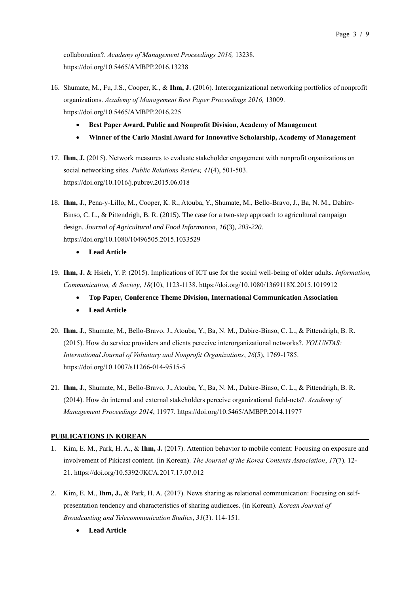[collaboration?.](http://proceedings.aom.org/content/2016/1/13238.short) *Academy of Management Proceedings 2016,* 13238. <https://doi.org/10.5465/AMBPP.2016.13238>

- 16. Shumate, M., Fu, J.S., Cooper, K., & **Ihm, J.** (2016). [Interorganizational networking portfolios of nonprofit](http://proceedings.aom.org/content/2016/1/13009.short)  [organizations.](http://proceedings.aom.org/content/2016/1/13009.short) *Academy of Management Best Paper Proceedings 2016,* 13009. <https://doi.org/10.5465/AMBPP.2016.225>
	- **Best Paper Award, Public and Nonprofit Division, Academy of Management**
	- **Winner of the Carlo Masini Award for Innovative Scholarship, Academy of Management**
- 17. **Ihm, J.** [\(2015\). Network measures to evaluate stakeholder engagement with nonprofit organizations on](http://weebly-file/5/0/2/7/50277035/public_relations_published.pdf)  social networking sites. *[Public Relations Review,](http://weebly-file/5/0/2/7/50277035/public_relations_published.pdf) 41*(4), 501-503. <https://doi.org/10.1016/j.pubrev.2015.06.018>
- 18. **Ihm, J.**, Pena-y-Lillo, M., Cooper, K. R., Atouba, Y., Shumate, M., Bello-Bravo, J., Ba, N. M., Dabire-Binso, C. L., & Pittendrigh, B. R. (2015). The case for a two-step approach to agricultural campaign design. *Journal of Agricultural and Food Information, 16*(3)*, 203-220.* <https://doi.org/10.1080/10496505.2015.1033529>
	- **Lead Article**
- 19. **Ihm, J.** & Hsieh, Y. P. (2015). Implications of ICT use for the social well-being of older adults. *Information, Communication, & Society*, *18*(10), 1123-1138. <https://doi.org/10.1080/1369118X.2015.1019912>
	- **Top Paper, Conference Theme Division, International Communication Association**
	- **Lead Article**
- 20. **Ihm, J.**, Shumate, M., Bello-Bravo, J., Atouba, Y., Ba, N. M., Dabire-Binso, C. L., & Pittendrigh, B. R. (2015). How do service providers and clients perceive interorganizational networks?. *VOLUNTAS: International Journal of Voluntary and Nonprofit Organizations*, *26*(5), 1769-1785. <https://doi.org/10.1007/s11266-014-9515-5>
- 21. **Ihm, J.**, Shumate, M., Bello-Bravo, J., Atouba, Y., Ba, N. M., Dabire-Binso, C. L., & Pittendrigh, B. R. (2014). How do internal and external stakeholders perceive organizational field-nets?. *Academy of Management Proceedings 2014*, 11977. <https://doi.org/10.5465/AMBPP.2014.11977>

# **PUBLICATIONS IN KOREAN**

- 1. Kim, E. M., Park, H. A., & **Ihm, J.** (2017). Attention behavior to mobile content: Focusing on exposure and involvement of Pikicast content. (in Korean). *The Journal of the Korea Contents Association*, *17*(7). 12- 21. <https://doi.org/10.5392/JKCA.2017.17.07.012>
- 2. Kim, E. M., **Ihm, J.,** & Park, H. A. (2017). News sharing as relational communication: Focusing on selfpresentation tendency and characteristics of sharing audiences. (in Korean). *Korean Journal of Broadcasting and Telecommunication Studies*, *31*(3). 114-151.
	- **Lead Article**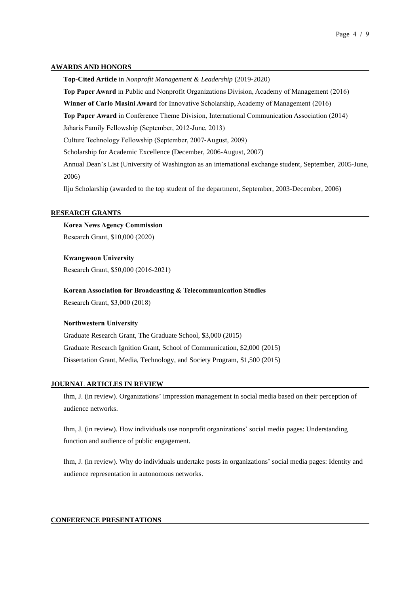#### **AWARDS AND HONORS**

**Top-Cited Article** in *Nonprofit Management & Leadership* (2019-2020) **Top Paper Award** in Public and Nonprofit Organizations Division, Academy of Management (2016) **Winner of Carlo Masini Award** for Innovative Scholarship, Academy of Management (2016) **Top Paper Award** in Conference Theme Division, International Communication Association (2014) Jaharis Family Fellowship (September, 2012-June, 2013) Culture Technology Fellowship (September, 2007-August, 2009) Scholarship for Academic Excellence (December, 2006-August, 2007) Annual Dean's List (University of Washington as an international exchange student, September, 2005-June, 2006) Ilju Scholarship (awarded to the top student of the department, September, 2003-December, 2006)

#### **RESEARCH GRANTS**

# **Korea News Agency Commission**

Research Grant, \$10,000 (2020)

#### **Kwangwoon University**

Research Grant, \$50,000 (2016-2021)

#### **Korean Association for Broadcasting & Telecommunication Studies**

Research Grant, \$3,000 (2018)

#### **Northwestern University**

Graduate Research Grant, The Graduate School, \$3,000 (2015) Graduate Research Ignition Grant, School of Communication, \$2,000 (2015) Dissertation Grant, Media, Technology, and Society Program, \$1,500 (2015)

#### **JOURNAL ARTICLES IN REVIEW**

Ihm, J. (in review). Organizations' impression management in social media based on their perception of audience networks.

Ihm, J. (in review). How individuals use nonprofit organizations' social media pages: Understanding function and audience of public engagement.

Ihm, J. (in review). Why do individuals undertake posts in organizations' social media pages: Identity and audience representation in autonomous networks.

### **CONFERENCE PRESENTATIONS**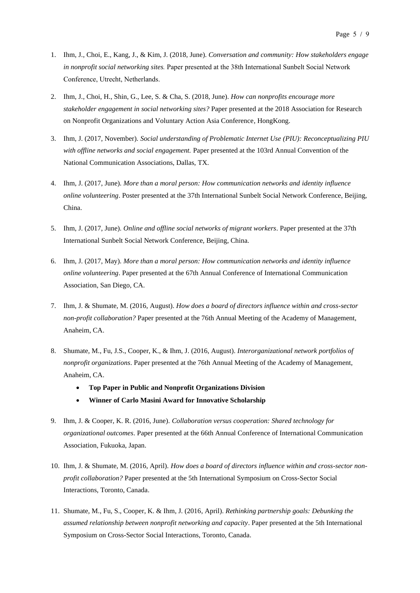- 1. Ihm, J., Choi, E., Kang, J., & Kim, J. (2018, June). *Conversation and community: How stakeholders engage in nonprofit social networking sites.* Paper presented at the 38th International Sunbelt Social Network Conference, Utrecht, Netherlands.
- 2. Ihm, J., Choi, H., Shin, G., Lee, S. & Cha, S. (2018, June). *How can nonprofits encourage more stakeholder engagement in social networking sites?* Paper presented at the 2018 Association for Research on Nonprofit Organizations and Voluntary Action Asia Conference, HongKong.
- 3. Ihm, J. (2017, November). *Social understanding of Problematic Internet Use (PIU): Reconceptualizing PIU with offline networks and social engagement.* Paper presented at the 103rd Annual Convention of the National Communication Associations, Dallas, TX.
- 4. Ihm, J. (2017, June). *More than a moral person: How communication networks and identity influence online volunteering*. Poster presented at the 37th International Sunbelt Social Network Conference, Beijing, China.
- 5. Ihm, J. (2017, June). *Online and offline social networks of migrant workers*. Paper presented at the 37th International Sunbelt Social Network Conference, Beijing, China.
- 6. Ihm, J. (2017, May). *More than a moral person: How communication networks and identity influence online volunteering*. Paper presented at the 67th Annual Conference of International Communication Association, San Diego, CA.
- 7. Ihm, J. & Shumate, M. (2016, August). *How does a board of directors influence within and cross-sector non-profit collaboration?* Paper presented at the 76th Annual Meeting of the Academy of Management, Anaheim, CA.
- 8. Shumate, M., Fu, J.S., Cooper, K., & Ihm, J. (2016, August). *Interorganizational network portfolios of nonprofit organizations*. Paper presented at the 76th Annual Meeting of the Academy of Management, Anaheim, CA.
	- **Top Paper in Public and Nonprofit Organizations Division**
	- **Winner of Carlo Masini Award for Innovative Scholarship**
- 9. Ihm, J. & Cooper, K. R. (2016, June). *Collaboration versus cooperation: Shared technology for organizational outcomes*. Paper presented at the 66th Annual Conference of International Communication Association, Fukuoka, Japan.
- 10. Ihm, J. & Shumate, M. (2016, April). *How does a board of directors influence within and cross-sector nonprofit collaboration?* Paper presented at the 5th International Symposium on Cross-Sector Social Interactions, Toronto, Canada.
- 11. Shumate, M., Fu, S., Cooper, K. & Ihm, J. (2016, April). *Rethinking partnership goals: Debunking the assumed relationship between nonprofit networking and capacity*. Paper presented at the 5th International Symposium on Cross-Sector Social Interactions, Toronto, Canada.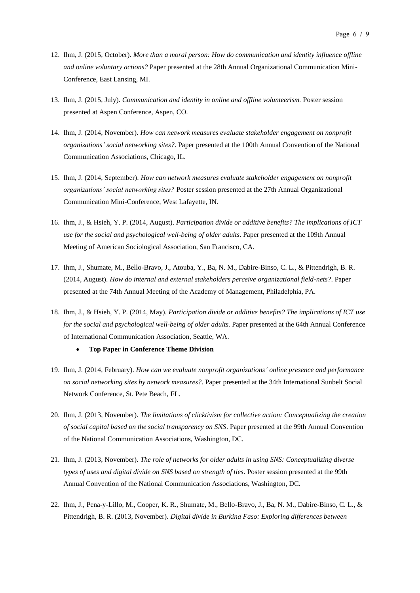- 12. Ihm, J. (2015, October). *More than a moral person: How do communication and identity influence offline and online voluntary actions?* Paper presented at the 28th Annual Organizational Communication Mini-Conference, East Lansing, MI.
- 13. Ihm, J. (2015, July). *Communication and identity in online and offline volunteerism.* Poster session presented at Aspen Conference, Aspen, CO.
- 14. Ihm, J. (2014, November). *How can network measures evaluate stakeholder engagement on nonprofit organizations' social networking sites?*. Paper presented at the 100th Annual Convention of the National Communication Associations, Chicago, IL.
- 15. Ihm, J. (2014, September). *How can network measures evaluate stakeholder engagement on nonprofit organizations' social networking sites?* Poster session presented at the 27th Annual Organizational Communication Mini-Conference, West Lafayette, IN.
- 16. Ihm, J., & Hsieh, Y. P. (2014, August). *Participation divide or additive benefits? The implications of ICT use for the social and psychological well-being of older adults*. Paper presented at the 109th Annual Meeting of American Sociological Association, San Francisco, CA.
- 17. Ihm, J., Shumate, M., Bello-Bravo, J., Atouba, Y., Ba, N. M., Dabire-Binso, C. L., & Pittendrigh, B. R. (2014, August). *How do internal and external stakeholders perceive organizational field-nets?*. Paper presented at the 74th Annual Meeting of the Academy of Management, Philadelphia, PA.
- 18. Ihm, J., & Hsieh, Y. P. (2014, May). *Participation divide or additive benefits? The implications of ICT use for the social and psychological well-being of older adults.* Paper presented at the 64th Annual Conference of International Communication Association, Seattle, WA.

#### • **Top Paper in Conference Theme Division**

- 19. Ihm, J. (2014, February). *How can we evaluate nonprofit organizations' online presence and performance on social networking sites by network measures?*. Paper presented at the 34th International Sunbelt Social Network Conference, St. Pete Beach, FL.
- 20. Ihm, J. (2013, November). *The limitations of clicktivism for collective action: Conceptualizing the creation of social capital based on the social transparency on SNS*. Paper presented at the 99th Annual Convention of the National Communication Associations, Washington, DC.
- 21. Ihm, J. (2013, November). *The role of networks for older adults in using SNS: Conceptualizing diverse types of uses and digital divide on SNS based on strength of ties*. Poster session presented at the 99th Annual Convention of the National Communication Associations, Washington, DC.
- 22. Ihm, J., Pena-y-Lillo, M., Cooper, K. R., Shumate, M., Bello-Bravo, J., Ba, N. M., Dabire-Binso, C. L., & Pittendrigh, B. R. (2013, November). *Digital divide in Burkina Faso: Exploring differences between*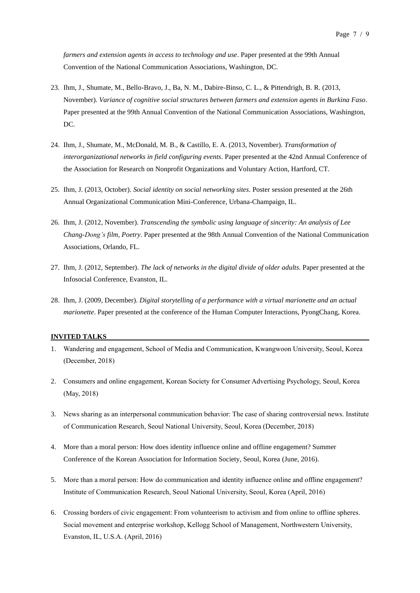*farmers and extension agents in access to technology and use*. Paper presented at the 99th Annual Convention of the National Communication Associations, Washington, DC.

- 23. Ihm, J., Shumate, M., Bello-Bravo, J., Ba, N. M., Dabire-Binso, C. L., & Pittendrigh, B. R. (2013, November). *Variance of cognitive social structures between farmers and extension agents in Burkina Faso*. Paper presented at the 99th Annual Convention of the National Communication Associations, Washington, DC.
- 24. Ihm, J., Shumate, M., McDonald, M. B., & Castillo, E. A. (2013, November). *Transformation of interorganizational networks in field configuring events*. Paper presented at the 42nd Annual Conference of the Association for Research on Nonprofit Organizations and Voluntary Action, Hartford, CT.
- 25. Ihm, J. (2013, October). *Social identity on social networking sites*. Poster session presented at the 26th Annual Organizational Communication Mini-Conference, Urbana-Champaign, IL.
- 26. Ihm, J. (2012, November). *Transcending the symbolic using language of sincerity: An analysis of Lee Chang-Dong's film, Poetry*. Paper presented at the 98th Annual Convention of the National Communication Associations, Orlando, FL.
- 27. Ihm, J. (2012, September). *The lack of networks in the digital divide of older adults*. Paper presented at the Infosocial Conference, Evanston, IL.
- 28. Ihm, J. (2009, December). *Digital storytelling of a performance with a virtual marionette and an actual marionette*. Paper presented at the conference of the Human Computer Interactions, PyongChang, Korea.

#### **INVITED TALKS**

- 1. Wandering and engagement, School of Media and Communication, Kwangwoon University, Seoul, Korea (December, 2018)
- 2. Consumers and online engagement, Korean Society for Consumer Advertising Psychology, Seoul, Korea (May, 2018)
- 3. News sharing as an interpersonal communication behavior: The case of sharing controversial news. Institute of Communication Research, Seoul National University, Seoul, Korea (December, 2018)
- 4. More than a moral person: How does identity influence online and offline engagement? Summer Conference of the Korean Association for Information Society, Seoul, Korea (June, 2016).
- 5. More than a moral person: How do communication and identity influence online and offline engagement? Institute of Communication Research, Seoul National University, Seoul, Korea (April, 2016)
- 6. Crossing borders of civic engagement: From volunteerism to activism and from online to offline spheres. Social movement and enterprise workshop, Kellogg School of Management, Northwestern University, Evanston, IL, U.S.A. (April, 2016)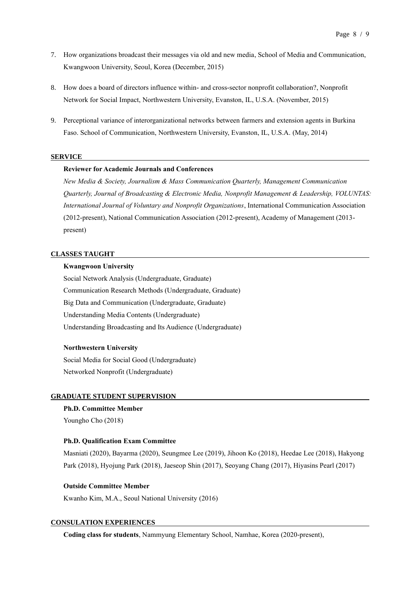- 7. How organizations broadcast their messages via old and new media, School of Media and Communication, Kwangwoon University, Seoul, Korea (December, 2015)
- 8. How does a board of directors influence within- and cross-sector nonprofit collaboration?, Nonprofit Network for Social Impact, Northwestern University, Evanston, IL, U.S.A. (November, 2015)
- 9. Perceptional variance of interorganizational networks between farmers and extension agents in Burkina Faso. School of Communication, Northwestern University, Evanston, IL, U.S.A. (May, 2014)

#### **SERVICE**

### **Reviewer for Academic Journals and Conferences**

*New Media & Society, Journalism & Mass Communication Quarterly, Management Communication Quarterly, Journal of Broadcasting & Electronic Media, Nonprofit Management & Leadership, VOLUNTAS: International Journal of Voluntary and Nonprofit Organizations*, International Communication Association (2012-present), National Communication Association (2012-present), Academy of Management (2013 present)

#### **CLASSES TAUGHT**

#### **Kwangwoon University**

Social Network Analysis (Undergraduate, Graduate) Communication Research Methods (Undergraduate, Graduate) Big Data and Communication (Undergraduate, Graduate) Understanding Media Contents (Undergraduate) Understanding Broadcasting and Its Audience (Undergraduate)

#### **Northwestern University**

Social Media for Social Good (Undergraduate) Networked Nonprofit (Undergraduate)

#### **GRADUATE STUDENT SUPERVISION**

**Ph.D. Committee Member**  Youngho Cho (2018)

#### **Ph.D. Qualification Exam Committee**

Masniati (2020), Bayarma (2020), Seungmee Lee (2019), Jihoon Ko (2018), Heedae Lee (2018), Hakyong Park (2018), Hyojung Park (2018), Jaeseop Shin (2017), Seoyang Chang (2017), Hiyasins Pearl (2017)

#### **Outside Committee Member**

Kwanho Kim, M.A., Seoul National University (2016)

#### **CONSULATION EXPERIENCES**

**Coding class for students**, Nammyung Elementary School, Namhae, Korea (2020-present),